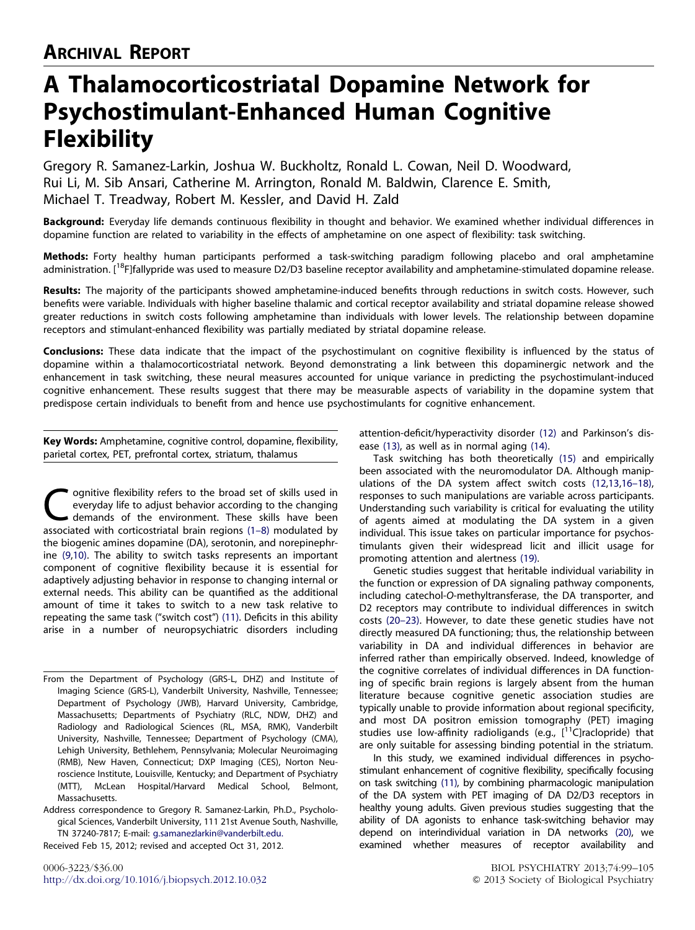# A Thalamocorticostriatal Dopamine Network for Psychostimulant-Enhanced Human Cognitive **Flexibility**

Gregory R. Samanez-Larkin, Joshua W. Buckholtz, Ronald L. Cowan, Neil D. Woodward, Rui Li, M. Sib Ansari, Catherine M. Arrington, Ronald M. Baldwin, Clarence E. Smith, Michael T. Treadway, Robert M. Kessler, and David H. Zald

Background: Everyday life demands continuous flexibility in thought and behavior. We examined whether individual differences in dopamine function are related to variability in the effects of amphetamine on one aspect of flexibility: task switching.

Methods: Forty healthy human participants performed a task-switching paradigm following placebo and oral amphetamine administration. [<sup>18</sup>F]fallypride was used to measure D2/D3 baseline receptor availability and amphetamine-stimulated dopamine release.

Results: The majority of the participants showed amphetamine-induced benefits through reductions in switch costs. However, such benefits were variable. Individuals with higher baseline thalamic and cortical receptor availability and striatal dopamine release showed greater reductions in switch costs following amphetamine than individuals with lower levels. The relationship between dopamine receptors and stimulant-enhanced flexibility was partially mediated by striatal dopamine release.

Conclusions: These data indicate that the impact of the psychostimulant on cognitive flexibility is influenced by the status of dopamine within a thalamocorticostriatal network. Beyond demonstrating a link between this dopaminergic network and the enhancement in task switching, these neural measures accounted for unique variance in predicting the psychostimulant-induced cognitive enhancement. These results suggest that there may be measurable aspects of variability in the dopamine system that predispose certain individuals to benefit from and hence use psychostimulants for cognitive enhancement.

Key Words: Amphetamine, cognitive control, dopamine, flexibility, parietal cortex, PET, prefrontal cortex, striatum, thalamus

Cognitive flexibility refers to the broad set of skills used in<br>
everyday life to adjust behavior according to the changing<br>
demands of the environment. These skills have been<br>
accocided with certicertriatal brain regions everyday life to adjust behavior according to the changing associated with corticostriatal brain regions [\(1–8\)](#page-5-0) modulated by the biogenic amines dopamine (DA), serotonin, and norepinephrine [\(9,10\)](#page-6-0). The ability to switch tasks represents an important component of cognitive flexibility because it is essential for adaptively adjusting behavior in response to changing internal or external needs. This ability can be quantified as the additional amount of time it takes to switch to a new task relative to repeating the same task ("switch cost") [\(11\)](#page-6-0). Deficits in this ability arise in a number of neuropsychiatric disorders including

From the Department of Psychology (GRS-L, DHZ) and Institute of Imaging Science (GRS-L), Vanderbilt University, Nashville, Tennessee; Department of Psychology (JWB), Harvard University, Cambridge, Massachusetts; Departments of Psychiatry (RLC, NDW, DHZ) and Radiology and Radiological Sciences (RL, MSA, RMK), Vanderbilt University, Nashville, Tennessee; Department of Psychology (CMA), Lehigh University, Bethlehem, Pennsylvania; Molecular Neuroimaging (RMB), New Haven, Connecticut; DXP Imaging (CES), Norton Neuroscience Institute, Louisville, Kentucky; and Department of Psychiatry (MTT), McLean Hospital/Harvard Medical School, Belmont, Massachusetts.

Address correspondence to Gregory R. Samanez-Larkin, Ph.D., Psychological Sciences, Vanderbilt University, 111 21st Avenue South, Nashville, TN 37240-7817; E-mail: [g.samanezlarkin@vanderbilt.edu.](mailto:g.samanezlarkin@vanderbilt.edu)

Received Feb 15, 2012; revised and accepted Oct 31, 2012.

attention-deficit/hyperactivity disorder [\(12\)](#page-6-0) and Parkinson's disease [\(13\),](#page-6-0) as well as in normal aging [\(14\)](#page-6-0).

Task switching has both theoretically [\(15\)](#page-6-0) and empirically been associated with the neuromodulator DA. Although manipulations of the DA system affect switch costs [\(12,13,16–18\),](#page-6-0) responses to such manipulations are variable across participants. Understanding such variability is critical for evaluating the utility of agents aimed at modulating the DA system in a given individual. This issue takes on particular importance for psychostimulants given their widespread licit and illicit usage for promoting attention and alertness [\(19\)](#page-6-0).

Genetic studies suggest that heritable individual variability in the function or expression of DA signaling pathway components, including catechol-O-methyltransferase, the DA transporter, and D2 receptors may contribute to individual differences in switch costs [\(20–23\)](#page-6-0). However, to date these genetic studies have not directly measured DA functioning; thus, the relationship between variability in DA and individual differences in behavior are inferred rather than empirically observed. Indeed, knowledge of the cognitive correlates of individual differences in DA functioning of specific brain regions is largely absent from the human literature because cognitive genetic association studies are typically unable to provide information about regional specificity, and most DA positron emission tomography (PET) imaging studies use low-affinity radioligands (e.g.,  $[^{11}C]$ raclopride) that are only suitable for assessing binding potential in the striatum.

In this study, we examined individual differences in psychostimulant enhancement of cognitive flexibility, specifically focusing on task switching [\(11\),](#page-6-0) by combining pharmacologic manipulation of the DA system with PET imaging of DA D2/D3 receptors in healthy young adults. Given previous studies suggesting that the ability of DA agonists to enhance task-switching behavior may depend on interindividual variation in DA networks [\(20\),](#page-6-0) we examined whether measures of receptor availability and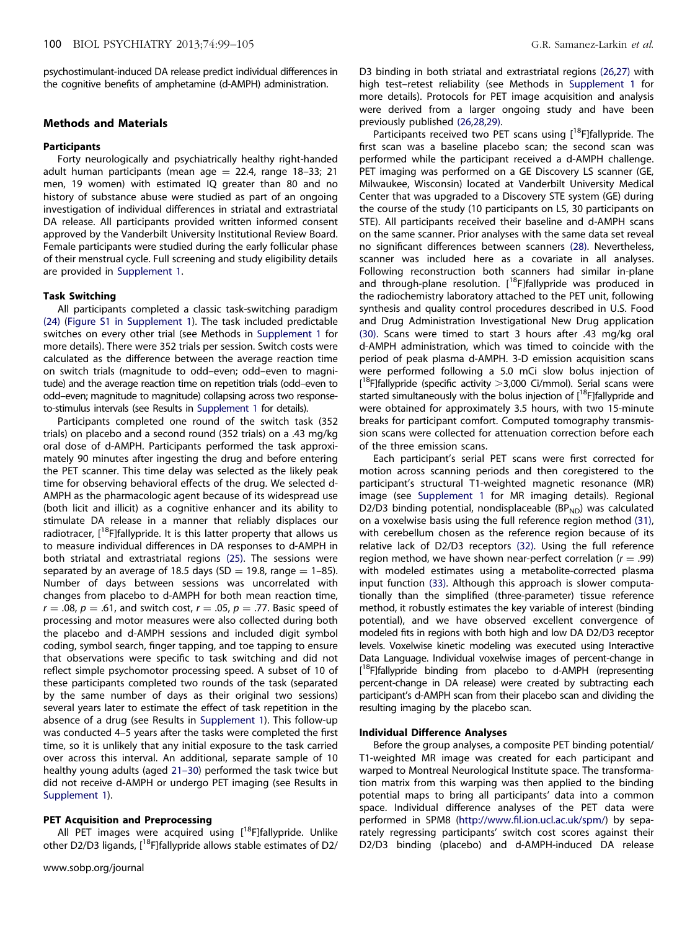psychostimulant-induced DA release predict individual differences in the cognitive benefits of amphetamine (d-AMPH) administration.

## Methods and Materials

## Participants

Forty neurologically and psychiatrically healthy right-handed adult human participants (mean age  $= 22.4$ , range 18-33; 21 men, 19 women) with estimated IQ greater than 80 and no history of substance abuse were studied as part of an ongoing investigation of individual differences in striatal and extrastriatal DA release. All participants provided written informed consent approved by the Vanderbilt University Institutional Review Board. Female participants were studied during the early follicular phase of their menstrual cycle. Full screening and study eligibility details are provided in Supplement 1.

#### Task Switching

All participants completed a classic task-switching paradigm [\(24\)](#page-6-0) (Figure S1 in Supplement 1). The task included predictable switches on every other trial (see Methods in Supplement 1 for more details). There were 352 trials per session. Switch costs were calculated as the difference between the average reaction time on switch trials (magnitude to odd–even; odd–even to magnitude) and the average reaction time on repetition trials (odd–even to odd–even; magnitude to magnitude) collapsing across two responseto-stimulus intervals (see Results in Supplement 1 for details).

Participants completed one round of the switch task (352 trials) on placebo and a second round (352 trials) on a .43 mg/kg oral dose of d-AMPH. Participants performed the task approximately 90 minutes after ingesting the drug and before entering the PET scanner. This time delay was selected as the likely peak time for observing behavioral effects of the drug. We selected d-AMPH as the pharmacologic agent because of its widespread use (both licit and illicit) as a cognitive enhancer and its ability to stimulate DA release in a manner that reliably displaces our radiotracer,  $[18F]$ fallypride. It is this latter property that allows us to measure individual differences in DA responses to d-AMPH in both striatal and extrastriatal regions [\(25\).](#page-6-0) The sessions were separated by an average of 18.5 days (SD = 19.8, range = 1–85). Number of days between sessions was uncorrelated with changes from placebo to d-AMPH for both mean reaction time,  $r = .08$ ,  $p = .61$ , and switch cost,  $r = .05$ ,  $p = .77$ . Basic speed of processing and motor measures were also collected during both the placebo and d-AMPH sessions and included digit symbol coding, symbol search, finger tapping, and toe tapping to ensure that observations were specific to task switching and did not reflect simple psychomotor processing speed. A subset of 10 of these participants completed two rounds of the task (separated by the same number of days as their original two sessions) several years later to estimate the effect of task repetition in the absence of a drug (see Results in Supplement 1). This follow-up was conducted 4–5 years after the tasks were completed the first time, so it is unlikely that any initial exposure to the task carried over across this interval. An additional, separate sample of 10 healthy young adults (aged [21–30](#page-6-0)) performed the task twice but did not receive d-AMPH or undergo PET imaging (see Results in Supplement 1).

## PET Acquisition and Preprocessing

All PET images were acquired using [<sup>18</sup>F]fallypride. Unlike other D2/D3 ligands, [<sup>18</sup>F]fallypride allows stable estimates of D2/ D3 binding in both striatal and extrastriatal regions [\(26,27\)](#page-6-0) with high test–retest reliability (see Methods in Supplement 1 for more details). Protocols for PET image acquisition and analysis were derived from a larger ongoing study and have been previously published [\(26,28,29\)](#page-6-0).

Participants received two PET scans using [<sup>18</sup>F]fallypride. The first scan was a baseline placebo scan; the second scan was performed while the participant received a d-AMPH challenge. PET imaging was performed on a GE Discovery LS scanner (GE, Milwaukee, Wisconsin) located at Vanderbilt University Medical Center that was upgraded to a Discovery STE system (GE) during the course of the study (10 participants on LS, 30 participants on STE). All participants received their baseline and d-AMPH scans on the same scanner. Prior analyses with the same data set reveal no significant differences between scanners [\(28\)](#page-6-0). Nevertheless, scanner was included here as a covariate in all analyses. Following reconstruction both scanners had similar in-plane and through-plane resolution. [<sup>18</sup>F]fallypride was produced in the radiochemistry laboratory attached to the PET unit, following synthesis and quality control procedures described in U.S. Food and Drug Administration Investigational New Drug application [\(30\).](#page-6-0) Scans were timed to start 3 hours after .43 mg/kg oral d-AMPH administration, which was timed to coincide with the period of peak plasma d-AMPH. 3-D emission acquisition scans were performed following a 5.0 mCi slow bolus injection of [<sup>18</sup>F]fallypride (specific activity >3,000 Ci/mmol). Serial scans were started simultaneously with the bolus injection of  $[18F]$ fallypride and were obtained for approximately 3.5 hours, with two 15-minute breaks for participant comfort. Computed tomography transmission scans were collected for attenuation correction before each of the three emission scans.

Each participant's serial PET scans were first corrected for motion across scanning periods and then coregistered to the participant's structural T1-weighted magnetic resonance (MR) image (see Supplement 1 for MR imaging details). Regional D2/D3 binding potential, nondisplaceable ( $BP<sub>ND</sub>$ ) was calculated on a voxelwise basis using the full reference region method [\(31\),](#page-6-0) with cerebellum chosen as the reference region because of its relative lack of D2/D3 receptors [\(32\)](#page-6-0). Using the full reference region method, we have shown near-perfect correlation ( $r = .99$ ) with modeled estimates using a metabolite-corrected plasma input function [\(33\).](#page-6-0) Although this approach is slower computationally than the simplified (three-parameter) tissue reference method, it robustly estimates the key variable of interest (binding potential), and we have observed excellent convergence of modeled fits in regions with both high and low DA D2/D3 receptor levels. Voxelwise kinetic modeling was executed using Interactive Data Language. Individual voxelwise images of percent-change in [<sup>18</sup>F]fallypride binding from placebo to d-AMPH (representing percent-change in DA release) were created by subtracting each participant's d-AMPH scan from their placebo scan and dividing the resulting imaging by the placebo scan.

## Individual Difference Analyses

Before the group analyses, a composite PET binding potential/ T1-weighted MR image was created for each participant and warped to Montreal Neurological Institute space. The transformation matrix from this warping was then applied to the binding potential maps to bring all participants' data into a common space. Individual difference analyses of the PET data were performed in SPM8 [\(http://www.fil.ion.ucl.ac.uk/spm/\)](http://www.fil.ion.ucl.ac.uk/spm/) by separately regressing participants' switch cost scores against their D2/D3 binding (placebo) and d-AMPH-induced DA release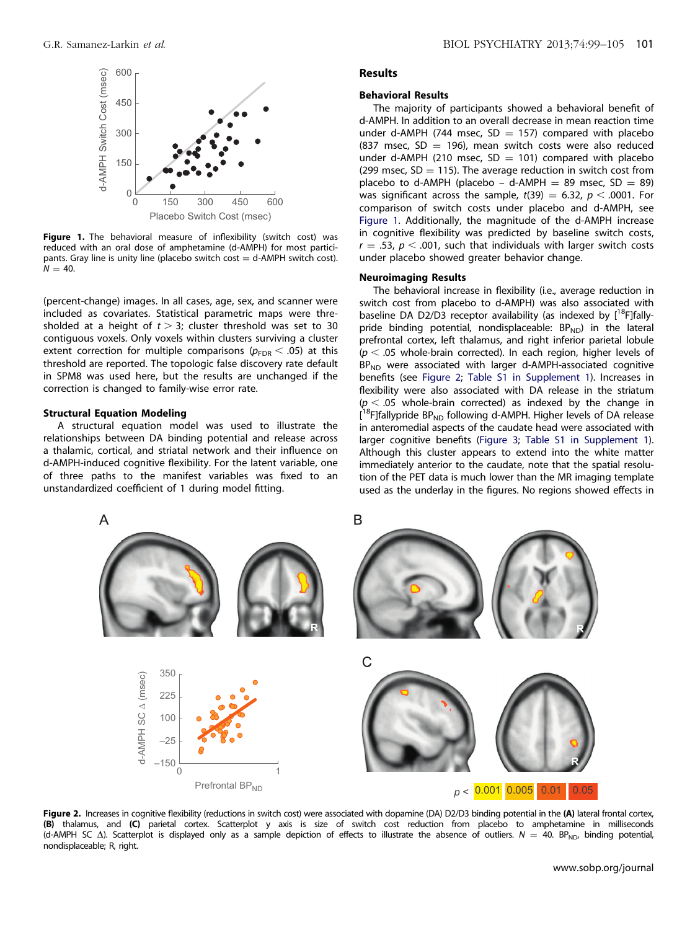

Figure 1. The behavioral measure of inflexibility (switch cost) was reduced with an oral dose of amphetamine (d-AMPH) for most participants. Gray line is unity line (placebo switch cost  $=$  d-AMPH switch cost).  $N = 40.$ 

(percent-change) images. In all cases, age, sex, and scanner were included as covariates. Statistical parametric maps were thresholded at a height of  $t > 3$ ; cluster threshold was set to 30 contiguous voxels. Only voxels within clusters surviving a cluster extent correction for multiple comparisons ( $p_{FDR}$  < .05) at this threshold are reported. The topologic false discovery rate default in SPM8 was used here, but the results are unchanged if the correction is changed to family-wise error rate.

#### Structural Equation Modeling

A structural equation model was used to illustrate the relationships between DA binding potential and release across a thalamic, cortical, and striatal network and their influence on d-AMPH-induced cognitive flexibility. For the latent variable, one of three paths to the manifest variables was fixed to an unstandardized coefficient of 1 during model fitting.

## Results

#### Behavioral Results

The majority of participants showed a behavioral benefit of d-AMPH. In addition to an overall decrease in mean reaction time under d-AMPH (744 msec,  $SD = 157$ ) compared with placebo (837 msec, SD  $=$  196), mean switch costs were also reduced under d-AMPH (210 msec,  $SD = 101$ ) compared with placebo (299 msec,  $SD = 115$ ). The average reduction in switch cost from placebo to d-AMPH (placebo – d-AMPH  $=$  89 msec, SD  $=$  89) was significant across the sample,  $t(39) = 6.32$ ,  $p < .0001$ . For comparison of switch costs under placebo and d-AMPH, see Figure 1. Additionally, the magnitude of the d-AMPH increase in cognitive flexibility was predicted by baseline switch costs,  $r = .53$ ,  $p < .001$ , such that individuals with larger switch costs under placebo showed greater behavior change.

## Neuroimaging Results

The behavioral increase in flexibility (i.e., average reduction in switch cost from placebo to d-AMPH) was also associated with baseline DA D2/D3 receptor availability (as indexed by [<sup>18</sup>F]fallypride binding potential, nondisplaceable:  $BP_{ND}$ ) in the lateral prefrontal cortex, left thalamus, and right inferior parietal lobule ( $p < .05$  whole-brain corrected). In each region, higher levels of  $BP<sub>ND</sub>$  were associated with larger d-AMPH-associated cognitive benefits (see Figure 2; Table S1 in Supplement 1). Increases in flexibility were also associated with DA release in the striatum  $(p < .05$  whole-brain corrected) as indexed by the change in [<sup>18</sup>F]fallypride BP<sub>ND</sub> following d-AMPH. Higher levels of DA release in anteromedial aspects of the caudate head were associated with larger cognitive benefits ([Figure 3](#page-3-0); Table S1 in Supplement 1). Although this cluster appears to extend into the white matter immediately anterior to the caudate, note that the spatial resolution of the PET data is much lower than the MR imaging template used as the underlay in the figures. No regions showed effects in



Figure 2. Increases in cognitive flexibility (reductions in switch cost) were associated with dopamine (DA) D2/D3 binding potential in the (A) lateral frontal cortex, (B) thalamus, and (C) parietal cortex. Scatterplot y axis is size of switch cost reduction from placebo to amphetamine in milliseconds (d-AMPH SC  $\Delta$ ). Scatterplot is displayed only as a sample depiction of effects to illustrate the absence of outliers. N = 40. BP<sub>ND</sub>, binding potential, nondisplaceable; R, right.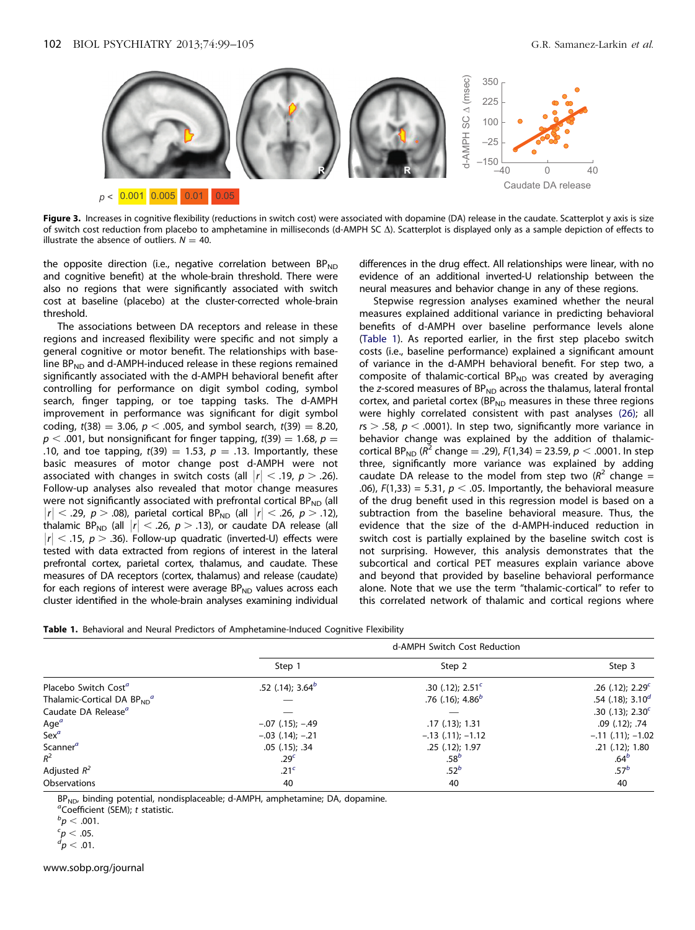<span id="page-3-0"></span>

Figure 3. Increases in cognitive flexibility (reductions in switch cost) were associated with dopamine (DA) release in the caudate. Scatterplot y axis is size of switch cost reduction from placebo to amphetamine in milliseconds (d-AMPH SC D). Scatterplot is displayed only as a sample depiction of effects to illustrate the absence of outliers.  $N = 40$ .

the opposite direction (i.e., negative correlation between  $BP_{ND}$ and cognitive benefit) at the whole-brain threshold. There were also no regions that were significantly associated with switch cost at baseline (placebo) at the cluster-corrected whole-brain threshold.

The associations between DA receptors and release in these regions and increased flexibility were specific and not simply a general cognitive or motor benefit. The relationships with baseline  $BP_{ND}$  and d-AMPH-induced release in these regions remained significantly associated with the d-AMPH behavioral benefit after controlling for performance on digit symbol coding, symbol search, finger tapping, or toe tapping tasks. The d-AMPH improvement in performance was significant for digit symbol coding,  $t(38) = 3.06$ ,  $p < .005$ , and symbol search,  $t(39) = 8.20$ ,  $p < .001$ , but nonsignificant for finger tapping,  $t(39) = 1.68$ ,  $p =$ .10, and toe tapping,  $t(39) = 1.53$ ,  $p = .13$ . Importantly, these basic measures of motor change post d-AMPH were not associated with changes in switch costs (all  $|r| < .19$ ,  $p > .26$ ).<br>Follow-un analyses also revealed that motor change measures Follow-up analyses also revealed that motor change measures were not significantly associated with prefrontal cortical  $BP<sub>ND</sub>$  (all  $|r| < .29$ ,  $p > .08$ ), parietal cortical  $BP_{ND}$  (all  $|r| < .26$ ,  $p > .12$ ), thalamic  $BP_{D}$ , (all  $|r| < .26$ ,  $p > .13$ ), or caudate DA release (all thalamic  $BP_{ND}$  (all  $|r| < .26$ ,  $p > .13$ ), or caudate DA release (all  $|r| < 15$ ,  $p > .36$ ). Eollow-up quadratic (inverted-U) effects were  $|r| <$  .15,  $p >$  .36). Follow-up quadratic (inverted-U) effects were<br>tested with data extracted from regions of interest in the lateral tested with data extracted from regions of interest in the lateral prefrontal cortex, parietal cortex, thalamus, and caudate. These measures of DA receptors (cortex, thalamus) and release (caudate) for each regions of interest were average  $BP_{ND}$  values across each cluster identified in the whole-brain analyses examining individual differences in the drug effect. All relationships were linear, with no evidence of an additional inverted-U relationship between the neural measures and behavior change in any of these regions.

Stepwise regression analyses examined whether the neural measures explained additional variance in predicting behavioral benefits of d-AMPH over baseline performance levels alone (Table 1). As reported earlier, in the first step placebo switch costs (i.e., baseline performance) explained a significant amount of variance in the d-AMPH behavioral benefit. For step two, a composite of thalamic-cortical  $BP_{ND}$  was created by averaging the z-scored measures of  $BP_{ND}$  across the thalamus, lateral frontal cortex, and parietal cortex ( $BP_{ND}$  measures in these three regions were highly correlated consistent with past analyses [\(26\)](#page-6-0); all rs  $>$  .58,  $p$   $<$  .0001). In step two, significantly more variance in behavior change was explained by the addition of thalamiccortical BP<sub>ND</sub> ( $R^2$  change = .29),  $F(1,34) = 23.59$ ,  $p < .0001$ . In step three, significantly more variance was explained by adding caudate DA release to the model from step two  $(R^2 \text{ change} =$ .06),  $F(1,33) = 5.31$ ,  $p < .05$ . Importantly, the behavioral measure of the drug benefit used in this regression model is based on a subtraction from the baseline behavioral measure. Thus, the evidence that the size of the d-AMPH-induced reduction in switch cost is partially explained by the baseline switch cost is not surprising. However, this analysis demonstrates that the subcortical and cortical PET measures explain variance above and beyond that provided by baseline behavioral performance alone. Note that we use the term "thalamic-cortical" to refer to this correlated network of thalamic and cortical regions where

| Table 1. Behavioral and Neural Predictors of Amphetamine-Induced Cognitive Flexibility |  |  |
|----------------------------------------------------------------------------------------|--|--|
|----------------------------------------------------------------------------------------|--|--|

|                                          | d-AMPH Switch Cost Reduction |                       |                                |
|------------------------------------------|------------------------------|-----------------------|--------------------------------|
|                                          | Step 1                       | Step 2                | Step 3                         |
| Placebo Switch Cost <sup>a</sup>         | .52 (.14); $3.64^b$          | .30 (.12); $2.51c$    | .26 (.12); $2.29c$             |
| Thalamic-Cortical DA $BPND$ <sup>a</sup> |                              | .76 (.16); $4.86^b$   | $.54$ (.18); 3.10 <sup>d</sup> |
| Caudate DA Release <sup>a</sup>          |                              |                       | .30 (.13); $2.30c$             |
| Age $^a$                                 | $-.07$ (.15); $-.49$         | .17(.13); 1.31        | .09 (.12); .74                 |
| $Sex^a$                                  | $-.03$ (.14); $-.21$         | $-.13$ (.11); $-1.12$ | $-.11$ (.11); $-1.02$          |
| Scanner <sup>a</sup>                     | $.05$ $(.15)$ ; $.34$        | $.25$ $(.12)$ ; 1.97  | $.21$ $(.12)$ ; 1.80           |
| $R^2$                                    | .29 <sup>c</sup>             | .58 <sup>b</sup>      | .64 <sup>b</sup>               |
| Adjusted $R^2$                           | .21 <sup>c</sup>             | .52 <sup>b</sup>      | .57 <sup>b</sup>               |
| <b>Observations</b>                      | 40                           | 40                    | 40                             |

BP<sub>ND</sub>, binding potential, nondisplaceable; d-AMPH, amphetamine; DA, dopamine.

 $\epsilon_p$  < .05.

 ${}^d p < .$ 01.

 ${}^a$ Coefficient (SEM); t statistic.

 ${}^bp < .001$ .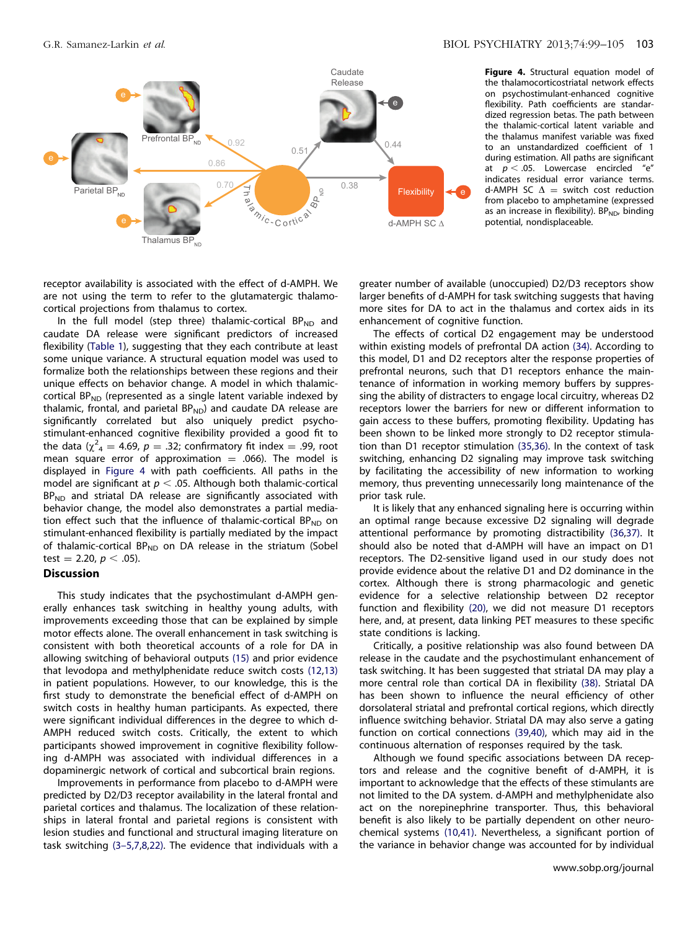

Figure 4. Structural equation model of the thalamocorticostriatal network effects on psychostimulant-enhanced cognitive flexibility. Path coefficients are standardized regression betas. The path between the thalamic-cortical latent variable and the thalamus manifest variable was fixed to an unstandardized coefficient of 1 during estimation. All paths are significant at  $p < .05$ . Lowercase encircled "e" indicates residual error variance terms. d-AMPH SC  $\Delta$  = switch cost reduction from placebo to amphetamine (expressed as an increase in flexibility).  $BP<sub>ND</sub>$ , binding potential, nondisplaceable.

receptor availability is associated with the effect of d-AMPH. We are not using the term to refer to the glutamatergic thalamocortical projections from thalamus to cortex.

In the full model (step three) thalamic-cortical  $BP_{ND}$  and caudate DA release were significant predictors of increased flexibility ([Table 1\)](#page-3-0), suggesting that they each contribute at least some unique variance. A structural equation model was used to formalize both the relationships between these regions and their unique effects on behavior change. A model in which thalamiccortical  $BP<sub>ND</sub>$  (represented as a single latent variable indexed by thalamic, frontal, and parietal  $BP_{ND}$ ) and caudate DA release are significantly correlated but also uniquely predict psychostimulant-enhanced cognitive flexibility provided a good fit to the data ( $\chi^2$ <sub>4</sub> = 4.69, p = .32; confirmatory fit index = .99, root mean square error of approximation  $=$  .066). The model is displayed in Figure 4 with path coefficients. All paths in the model are significant at  $p < .05$ . Although both thalamic-cortical  $BP<sub>ND</sub>$  and striatal DA release are significantly associated with behavior change, the model also demonstrates a partial mediation effect such that the influence of thalamic-cortical  $BP<sub>ND</sub>$  on stimulant-enhanced flexibility is partially mediated by the impact of thalamic-cortical  $BP_{ND}$  on DA release in the striatum (Sobel test = 2.20,  $p < .05$ ).

# Discussion

This study indicates that the psychostimulant d-AMPH generally enhances task switching in healthy young adults, with improvements exceeding those that can be explained by simple motor effects alone. The overall enhancement in task switching is consistent with both theoretical accounts of a role for DA in allowing switching of behavioral outputs [\(15\)](#page-6-0) and prior evidence that levodopa and methylphenidate reduce switch costs [\(12,13\)](#page-6-0) in patient populations. However, to our knowledge, this is the first study to demonstrate the beneficial effect of d-AMPH on switch costs in healthy human participants. As expected, there were significant individual differences in the degree to which d-AMPH reduced switch costs. Critically, the extent to which participants showed improvement in cognitive flexibility following d-AMPH was associated with individual differences in a dopaminergic network of cortical and subcortical brain regions.

Improvements in performance from placebo to d-AMPH were predicted by D2/D3 receptor availability in the lateral frontal and parietal cortices and thalamus. The localization of these relationships in lateral frontal and parietal regions is consistent with lesion studies and functional and structural imaging literature on task switching [\(3–5,7,8,22\)](#page-5-0). The evidence that individuals with a greater number of available (unoccupied) D2/D3 receptors show larger benefits of d-AMPH for task switching suggests that having more sites for DA to act in the thalamus and cortex aids in its enhancement of cognitive function.

The effects of cortical D2 engagement may be understood within existing models of prefrontal DA action [\(34\).](#page-6-0) According to this model, D1 and D2 receptors alter the response properties of prefrontal neurons, such that D1 receptors enhance the maintenance of information in working memory buffers by suppressing the ability of distracters to engage local circuitry, whereas D2 receptors lower the barriers for new or different information to gain access to these buffers, promoting flexibility. Updating has been shown to be linked more strongly to D2 receptor stimulation than D1 receptor stimulation [\(35,36\)](#page-6-0). In the context of task switching, enhancing D2 signaling may improve task switching by facilitating the accessibility of new information to working memory, thus preventing unnecessarily long maintenance of the prior task rule.

It is likely that any enhanced signaling here is occurring within an optimal range because excessive D2 signaling will degrade attentional performance by promoting distractibility [\(36,37\).](#page-6-0) It should also be noted that d-AMPH will have an impact on D1 receptors. The D2-sensitive ligand used in our study does not provide evidence about the relative D1 and D2 dominance in the cortex. Although there is strong pharmacologic and genetic evidence for a selective relationship between D2 receptor function and flexibility [\(20\)](#page-6-0), we did not measure D1 receptors here, and, at present, data linking PET measures to these specific state conditions is lacking.

Critically, a positive relationship was also found between DA release in the caudate and the psychostimulant enhancement of task switching. It has been suggested that striatal DA may play a more central role than cortical DA in flexibility [\(38\).](#page-6-0) Striatal DA has been shown to influence the neural efficiency of other dorsolateral striatal and prefrontal cortical regions, which directly influence switching behavior. Striatal DA may also serve a gating function on cortical connections [\(39,40\),](#page-6-0) which may aid in the continuous alternation of responses required by the task.

Although we found specific associations between DA receptors and release and the cognitive benefit of d-AMPH, it is important to acknowledge that the effects of these stimulants are not limited to the DA system. d-AMPH and methylphenidate also act on the norepinephrine transporter. Thus, this behavioral benefit is also likely to be partially dependent on other neurochemical systems [\(10,41\)](#page-6-0). Nevertheless, a significant portion of the variance in behavior change was accounted for by individual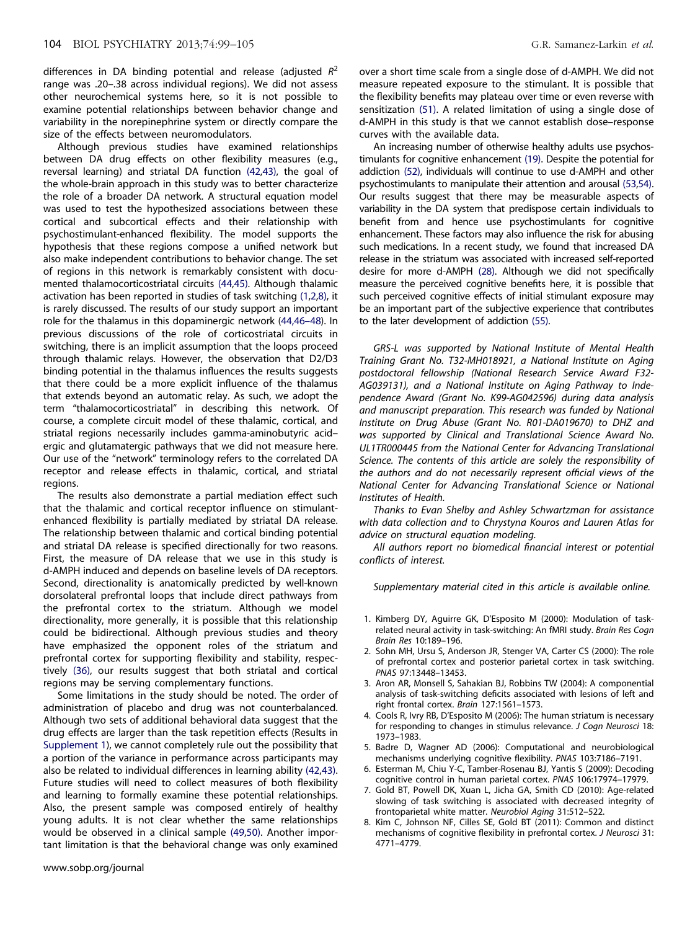<span id="page-5-0"></span>differences in DA binding potential and release (adjusted  $R^2$ range was .20–.38 across individual regions). We did not assess other neurochemical systems here, so it is not possible to examine potential relationships between behavior change and variability in the norepinephrine system or directly compare the size of the effects between neuromodulators.

Although previous studies have examined relationships between DA drug effects on other flexibility measures (e.g., reversal learning) and striatal DA function [\(42,43\),](#page-6-0) the goal of the whole-brain approach in this study was to better characterize the role of a broader DA network. A structural equation model was used to test the hypothesized associations between these cortical and subcortical effects and their relationship with psychostimulant-enhanced flexibility. The model supports the hypothesis that these regions compose a unified network but also make independent contributions to behavior change. The set of regions in this network is remarkably consistent with documented thalamocorticostriatal circuits [\(44,45\).](#page-6-0) Although thalamic activation has been reported in studies of task switching (1,2,8), it is rarely discussed. The results of our study support an important role for the thalamus in this dopaminergic network ([44,46–48](#page-6-0)). In previous discussions of the role of corticostriatal circuits in switching, there is an implicit assumption that the loops proceed through thalamic relays. However, the observation that D2/D3 binding potential in the thalamus influences the results suggests that there could be a more explicit influence of the thalamus that extends beyond an automatic relay. As such, we adopt the term "thalamocorticostriatal" in describing this network. Of course, a complete circuit model of these thalamic, cortical, and striatal regions necessarily includes gamma-aminobutyric acid– ergic and glutamatergic pathways that we did not measure here. Our use of the "network" terminology refers to the correlated DA receptor and release effects in thalamic, cortical, and striatal regions.

The results also demonstrate a partial mediation effect such that the thalamic and cortical receptor influence on stimulantenhanced flexibility is partially mediated by striatal DA release. The relationship between thalamic and cortical binding potential and striatal DA release is specified directionally for two reasons. First, the measure of DA release that we use in this study is d-AMPH induced and depends on baseline levels of DA receptors. Second, directionality is anatomically predicted by well-known dorsolateral prefrontal loops that include direct pathways from the prefrontal cortex to the striatum. Although we model directionality, more generally, it is possible that this relationship could be bidirectional. Although previous studies and theory have emphasized the opponent roles of the striatum and prefrontal cortex for supporting flexibility and stability, respectively [\(36\),](#page-6-0) our results suggest that both striatal and cortical regions may be serving complementary functions.

Some limitations in the study should be noted. The order of administration of placebo and drug was not counterbalanced. Although two sets of additional behavioral data suggest that the drug effects are larger than the task repetition effects (Results in Supplement 1), we cannot completely rule out the possibility that a portion of the variance in performance across participants may also be related to individual differences in learning ability [\(42](#page-6-0),[43\).](#page-6-0) Future studies will need to collect measures of both flexibility and learning to formally examine these potential relationships. Also, the present sample was composed entirely of healthy young adults. It is not clear whether the same relationships would be observed in a clinical sample [\(49,50\)](#page-6-0). Another important limitation is that the behavioral change was only examined

over a short time scale from a single dose of d-AMPH. We did not measure repeated exposure to the stimulant. It is possible that the flexibility benefits may plateau over time or even reverse with sensitization [\(51\)](#page-6-0). A related limitation of using a single dose of d-AMPH in this study is that we cannot establish dose–response curves with the available data.

An increasing number of otherwise healthy adults use psychostimulants for cognitive enhancement [\(19\)](#page-6-0). Despite the potential for addiction [\(52\),](#page-6-0) individuals will continue to use d-AMPH and other psychostimulants to manipulate their attention and arousal [\(53,54\).](#page-6-0) Our results suggest that there may be measurable aspects of variability in the DA system that predispose certain individuals to benefit from and hence use psychostimulants for cognitive enhancement. These factors may also influence the risk for abusing such medications. In a recent study, we found that increased DA release in the striatum was associated with increased self-reported desire for more d-AMPH [\(28\)](#page-6-0). Although we did not specifically measure the perceived cognitive benefits here, it is possible that such perceived cognitive effects of initial stimulant exposure may be an important part of the subjective experience that contributes to the later development of addiction [\(55\).](#page-6-0)

GRS-L was supported by National Institute of Mental Health Training Grant No. T32-MH018921, a National Institute on Aging postdoctoral fellowship (National Research Service Award F32- AG039131), and a National Institute on Aging Pathway to Independence Award (Grant No. K99-AG042596) during data analysis and manuscript preparation. This research was funded by National Institute on Drug Abuse (Grant No. R01-DA019670) to DHZ and was supported by Clinical and Translational Science Award No. UL1TR000445 from the National Center for Advancing Translational Science. The contents of this article are solely the responsibility of the authors and do not necessarily represent official views of the National Center for Advancing Translational Science or National Institutes of Health.

Thanks to Evan Shelby and Ashley Schwartzman for assistance with data collection and to Chrystyna Kouros and Lauren Atlas for advice on structural equation modeling.

All authors report no biomedical financial interest or potential conflicts of interest.

Supplementary material cited in this article is available online.

- 1. Kimberg DY, Aguirre GK, D'Esposito M (2000): Modulation of taskrelated neural activity in task-switching: An fMRI study. Brain Res Cogn Brain Res 10:189–196.
- 2. Sohn MH, Ursu S, Anderson JR, Stenger VA, Carter CS (2000): The role of prefrontal cortex and posterior parietal cortex in task switching. PNAS 97:13448–13453.
- 3. Aron AR, Monsell S, Sahakian BJ, Robbins TW (2004): A componential analysis of task-switching deficits associated with lesions of left and right frontal cortex. Brain 127:1561–1573.
- 4. Cools R, Ivry RB, D'Esposito M (2006): The human striatum is necessary for responding to changes in stimulus relevance. J Cogn Neurosci 18: 1973–1983.
- 5. Badre D, Wagner AD (2006): Computational and neurobiological mechanisms underlying cognitive flexibility. PNAS 103:7186–7191.
- 6. Esterman M, Chiu Y-C, Tamber-Rosenau BJ, Yantis S (2009): Decoding cognitive control in human parietal cortex. PNAS 106:17974–17979.
- 7. Gold BT, Powell DK, Xuan L, Jicha GA, Smith CD (2010): Age-related slowing of task switching is associated with decreased integrity of frontoparietal white matter. Neurobiol Aging 31:512–522.
- 8. Kim C, Johnson NF, Cilles SE, Gold BT (2011): Common and distinct mechanisms of cognitive flexibility in prefrontal cortex. J Neurosci 31: 4771–4779.